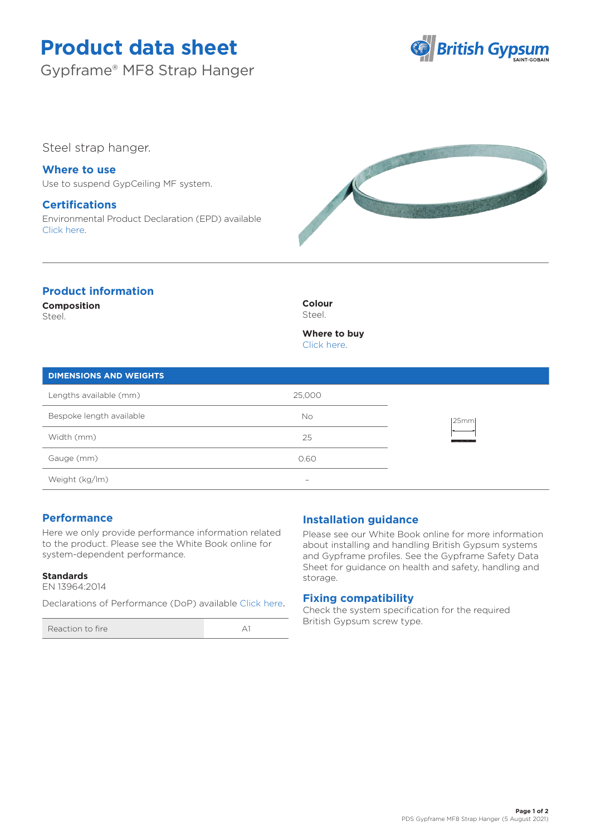# **Product data sheet**

Gypframe® MF8 Strap Hanger



Steel strap hanger.

**Where to use** Use to suspend GypCeiling MF system.

## **Certifications**

Environmental Product Declaration (EPD) available [Click here.](https://www.british-gypsum.com/EPD)



# **Product information**

**Composition**

Steel.

**Colour** Steel.

**Where to buy** [Click here.](https://www.british-gypsum.com/stockist-locator)

| <b>DIMENSIONS AND WEIGHTS</b> |        |      |
|-------------------------------|--------|------|
| Lengths available (mm)        | 25,000 | 25mm |
| Bespoke length available      | No     |      |
| Width (mm)                    | 25     |      |
| Gauge (mm)                    | 0.60   |      |

Weight (kg/lm) –

## **Performance**

Here we only provide performance information related to the product. Please see the White Book online for system-dependent performance.

### **Standards**

EN 13964:2014

Declarations of Performance (DoP) available [Click here](https://www.british-gypsum.com/DoP).

Reaction to fire A1

## **Installation guidance**

Please see our White Book online for more information about installing and handling British Gypsum systems and Gypframe profiles. See the Gypframe Safety Data Sheet for guidance on health and safety, handling and storage.

### **Fixing compatibility**

Check the system specification for the required British Gypsum screw type.